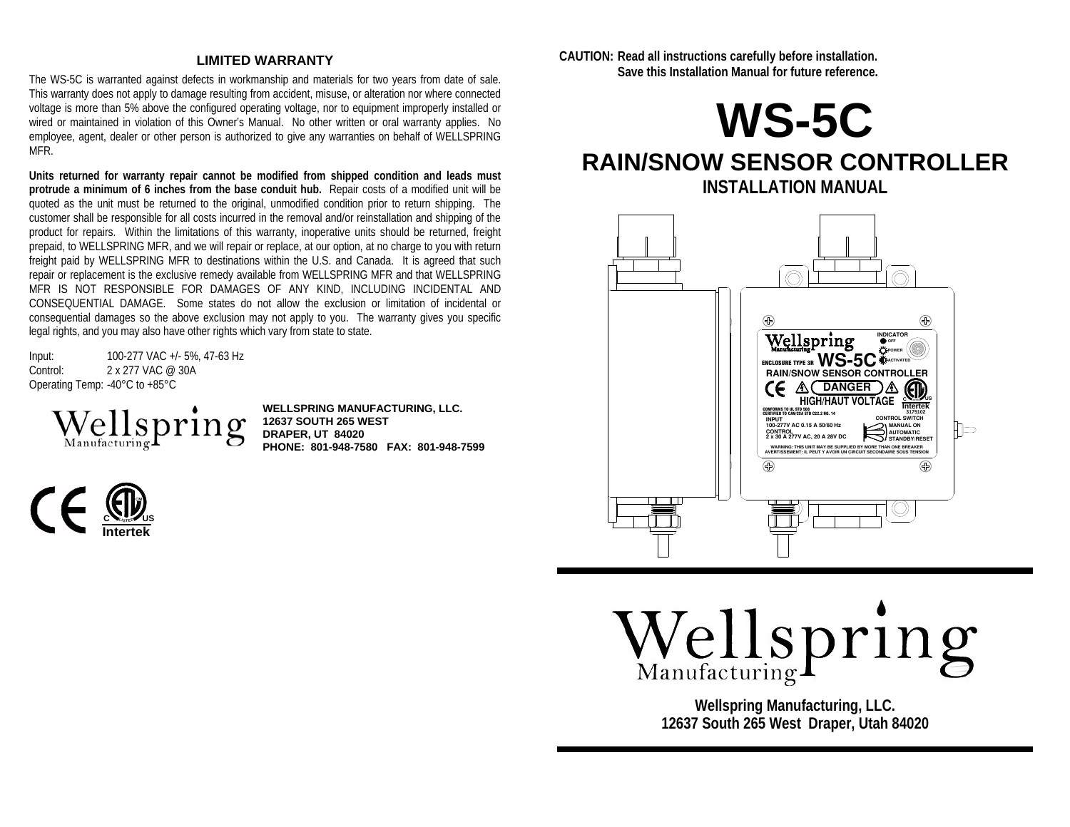#### **LIMITED WARRANTY**

The WS-5C is warranted against defects in workmanship and materials for two years from date of sale. This warranty does not apply to damage resulting from accident, misuse, or alteration nor where connected voltage is more than 5% above the configured operating voltage, nor to equipment improperly installed or wired or maintained in violation of this Owner's Manual. No other written or oral warranty applies. No employee, agent, dealer or other person is authorized to give any warranties on behalf of WELLSPRING MFR.

**Units returned for warranty repair cannot be modified from shipped condition and leads must protrude a minimum of 6 inches from the base conduit hub.** Repair costs of a modified unit will be quoted as the unit must be returned to the original, unmodified condition prior to return shipping. The customer shall be responsible for all costs incurred in the removal and/or reinstallation and shipping of the product for repairs. Within the limitations of this warranty, inoperative units should be returned, freight prepaid, to WELLSPRING MFR, and we will repair or replace, at our option, at no charge to you with return freight paid by WELLSPRING MFR to destinations within the U.S. and Canada. It is agreed that such repair or replacement is the exclusive remedy available from WELLSPRING MFR and that WELLSPRING MFR IS NOT RESPONSIBLE FOR DAMAGES OF ANY KIND, INCLUDING INCIDENTAL AND CONSEQUENTIAL DAMAGE. Some states do not allow the exclusion or limitation of incidental or consequential damages so the above exclusion may not apply to you. The warranty gives you specific legal rights, and you may also have other rights which vary from state to state.

Input: 100-277 VAC +/- 5%, 47-63 Hz Control: 2 x 277 VAC @ 30A Operating Temp: -40°C to +85°C



**WELLSPRING MANUFACTURING, LLC . T 12637 SOUTH 265 WESDRAPER, UT 84020 PHONE: 801-948-7580 FAX: 801-948-7599** 



**CAUTION: Read all instructions carefully before installation. Save this Installation Manual for future reference.** 



# **RAIN/SNOW SENSOR CONTROLLER INSTALLATION MANUAL**



# Wellspring

**Wellspring Manufacturing, LLC. 12637 South 265 West Draper, Utah 84020**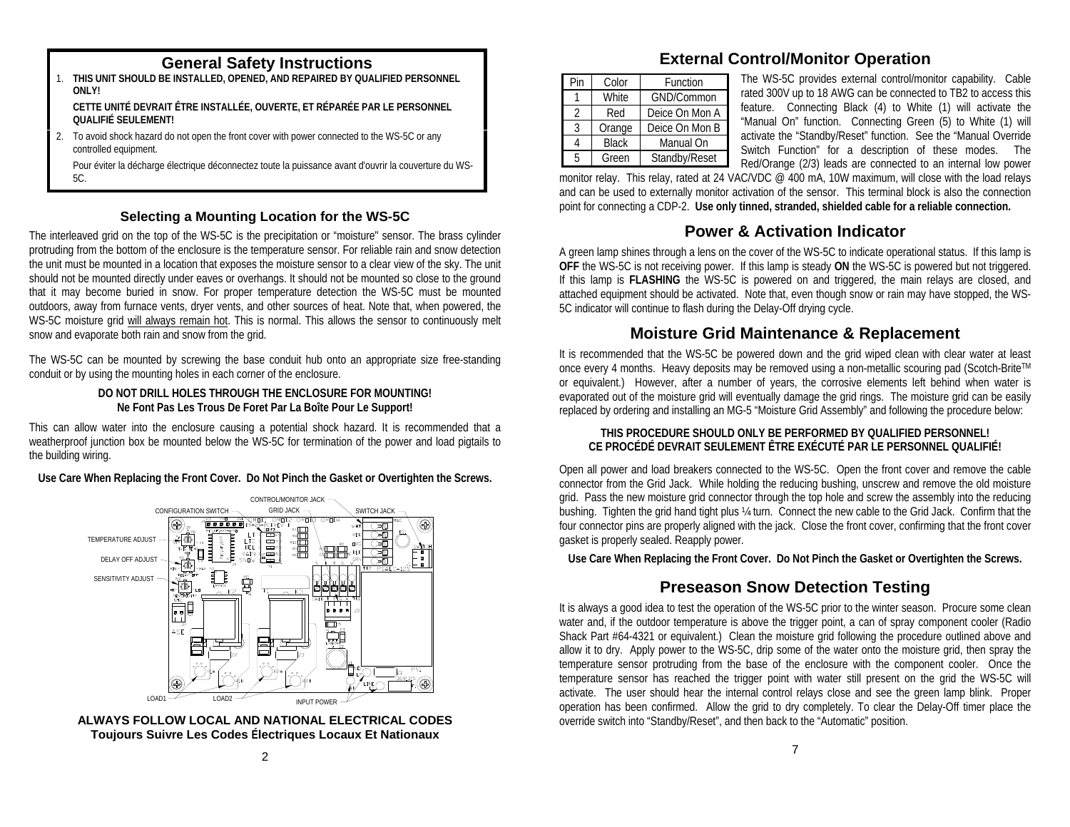- 1. **THIS UNIT SHOULD BE INSTALLED, OPENED, AND REPAIRED BY QUALIFIED PERSONNEL ONLY! CETTE UNITÉ DEVRAIT ÊTRE INSTALLÉE, OUVERTE, ET RÉPARÉE PAR LE PERSONNEL QUALIFIÉ SEULEMENT!**
- 2. To avoid shock hazard do not open the front cover with power connected to the WS-5C or any controlled equipment.

 Pour éviter la décharge électrique déconnectez toute la puissance avant d'ouvrir la couverture du WS-5C.

### **Selecting a Mounting Location for the WS-5C**

The interleaved grid on the top of the WS-5C is the precipitation or "moisture" sensor. The brass cylinder protruding from the bottom of the enclosure is the temperature sensor. For reliable rain and snow detection the unit must be mounted in a location that exposes the moisture sensor to a clear view of the sky. The unit should not be mounted directly under eaves or overhangs. It should not be mounted so close to the ground that it may become buried in snow. For proper temperature detection the WS-5C must be mounted outdoors, away from furnace vents, dryer vents, and other sources of heat. Note that, when powered, the WS-5C moisture grid will always remain hot. This is normal. This allows the sensor to continuously melt snow and evaporate both rain and snow from the grid.

The WS-5C can be mounted by screwing the base conduit hub onto an appropriate size free-standing conduit or by using the mounting holes in each corner of the enclosure.

#### **DO NOT DRILL HOLES THROUGH THE ENCLOSURE FOR MOUNTING! Ne Font Pas Les Trous De Foret Par La Boîte Pour Le Support!**

This can allow water into the enclosure causing a potential shock hazard. It is recommended that a weatherproof junction box be mounted below the WS-5C for termination of the power and load pigtails to the building wiring.

**Use Care When Replacing the Front Cover. Do Not Pinch the Gasket or Overtighten the Screws.**





# **General Safety Instructions External Control/Monitor Operation**

| Pin            | Color        | Function       |  |  |
|----------------|--------------|----------------|--|--|
|                | White        | GND/Common     |  |  |
| $\mathfrak{D}$ | Red          | Deice On Mon A |  |  |
| 3              | Orange       | Deice On Mon B |  |  |
|                | <b>Black</b> | Manual On      |  |  |
| 5              | Green        | Standby/Reset  |  |  |

The WS-5C provides external control/monitor capability. Cable rated 300V up to 18 AWG can be connected to TB2 to access this feature. Connecting Black (4) to White (1) will activate the "Manual On" function. Connecting Green (5) to White (1) will activate the "Standby/Reset" function. See the "Manual Override Switch Function" for a description of these modes. The Red/Orange (2/3) leads are connected to an internal low power

monitor relay. This relay, rated at 24 VAC/VDC @ 400 mA, 10W maximum, will close with the load relays and can be used to externally monitor activation of the sensor. This terminal block is also the connection point for connecting a CDP-2. **Use only tinned, stranded, shielded cable for a reliable connection.**

# **Power & Activation Indicator**

A green lamp shines through a lens on the cover of the WS-5C to indicate operational status. If this lamp is **OFF** the WS-5C is not receiving power. If this lamp is steady **ON** the WS-5C is powered but not triggered. If this lamp is **FLASHING** the WS-5C is powered on and triggered, the main relays are closed, and attached equipment should be activated. Note that, even though snow or rain may have stopped, the WS-5C indicator will continue to flash during the Delay-Off drying cycle.

# **Moisture Grid Maintenance & Replacement**

It is recommended that the WS-5C be powered down and the grid wiped clean with clear water at least once every 4 months. Heavy deposits may be removed using a non-metallic scouring pad (Scotch-BriteTM or equivalent.) However, after a number of years, the corrosive elements left behind when water is evaporated out of the moisture grid will eventually damage the grid rings. The moisture grid can be easily replaced by ordering and installing an MG-5 "Moisture Grid Assembly" and following the procedure below:

#### **THIS PROCEDURE SHOULD ONLY BE PERFORMED BY QUALIFIED PERSONNEL! CE PROCÉDÉ DEVRAIT SEULEMENT ÊTRE EXÉCUTÉ PAR LE PERSONNEL QUALIFIÉ!**

Open all power and load breakers connected to the WS-5C. Open the front cover and remove the cable connector from the Grid Jack. While holding the reducing bushing, unscrew and remove the old moisture grid. Pass the new moisture grid connector through the top hole and screw the assembly into the reducing bushing. Tighten the grid hand tight plus ¼ turn. Connect the new cable to the Grid Jack. Confirm that the four connector pins are properly aligned with the jack. Close the front cover, confirming that the front cover gasket is properly sealed. Reapply power.

**Use Care When Replacing the Front Cover. Do Not Pinch the Gasket or Overtighten the Screws.**

# **Preseason Snow Detection Testing**

It is always a good idea to test the operation of the WS-5C prior to the winter season. Procure some clean water and, if the outdoor temperature is above the trigger point, a can of spray component cooler (Radio Shack Part #64-4321 or equivalent.) Clean the moisture grid following the procedure outlined above and allow it to dry. Apply power to the WS-5C, drip some of the water onto the moisture grid, then spray the temperature sensor protruding from the base of the enclosure with the component cooler. Once the temperature sensor has reached the trigger point with water still present on the grid the WS-5C will activate. The user should hear the internal control relays close and see the green lamp blink. Proper operation has been confirmed. Allow the grid to dry completely. To clear the Delay-Off timer place the override switch into "Standby/Reset", and then back to the "Automatic" position.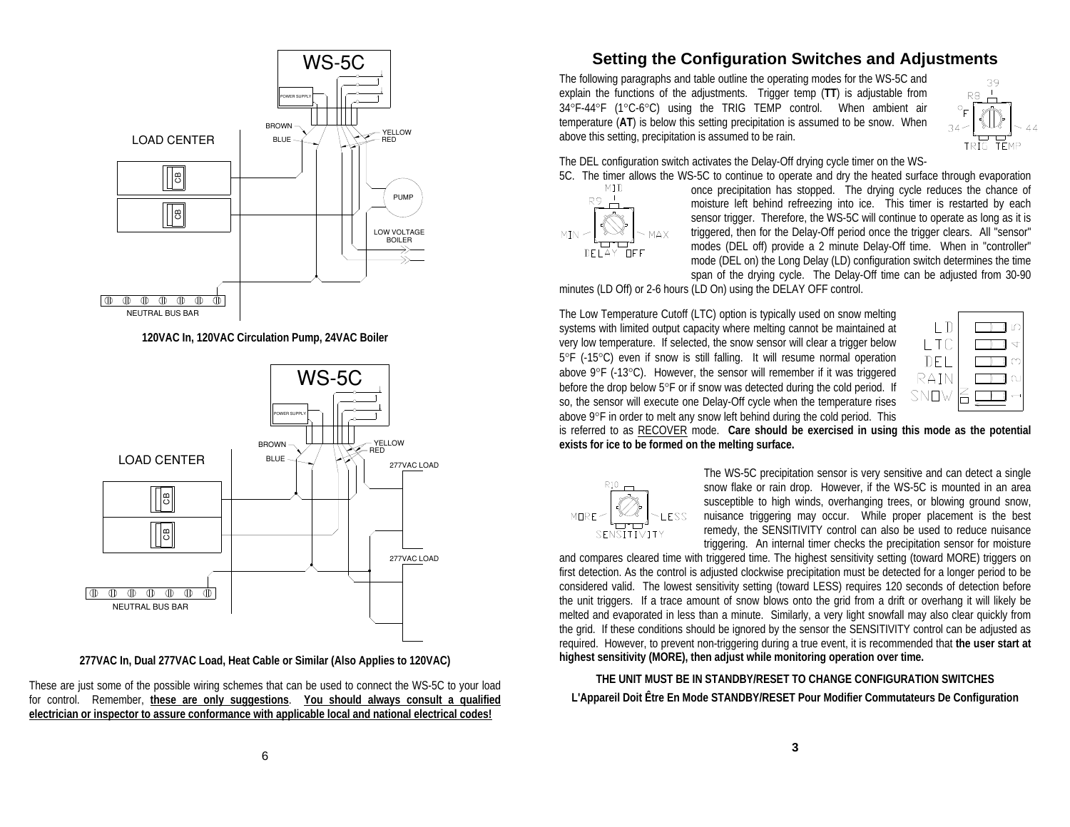

**120VAC In, 120VAC Circulation Pump, 24VAC Boiler** 



**277VAC In, Dual 277VAC Load, Heat Cable or Similar (Also Applies to 120VAC)** 

These are just some of the possible wiring schemes that can be used to connect the WS-5C to your load for control. Remember, **these are only suggestions**. **You should always consult a qualified electrician or inspector to assure conformance with applicable local and national electrical codes!**

# **Setting the Configuration Switches and Adjustments**

The following paragraphs and table outline the operating modes for the WS-5C and explain the functions of the adjustments. Trigger temp (**TT**) is adjustable from 34°F-44°F (1°C-6°C) using the TRIG TEMP control. When ambient air temperature (**AT**) is below this setting precipitation is assumed to be snow. When above this setting, precipitation is assumed to be rain.



The DEL configuration switch activates the Delay-Off drying cycle timer on the WS-



5C. The timer allows the WS-5C to continue to operate and dry the heated surface through evaporation MID once precipitation has stopped. The drying cycle reduces the chance of once precipitation has stopped. The drying cycle reduces the chance of moisture left behind refreezing into ice. This timer is restarted by each sensor trigger. Therefore, the WS-5C will continue to operate as long as it is triggered, then for the Delay-Off period once the trigger clears. All "sensor" modes (DEL off) provide a 2 minute Delay-Off time. When in "controller" mode (DEL on) the Long Delay (LD) configuration switch determines the time span of the drying cycle. The Delay-Off time can be adjusted from 30-90

minutes (LD Off) or 2-6 hours (LD On) using the DELAY OFF control.

The Low Temperature Cutoff (LTC) option is typically used on snow melting systems with limited output capacity where melting cannot be maintained at very low temperature. If selected, the snow sensor will clear a trigger below 5°F (-15°C) even if snow is still falling. It will resume normal operation above 9°F (-13°C). However, the sensor will remember if it was triggered before the drop below 5°F or if snow was detected during the cold period. If so, the sensor will execute one Delay-Off cycle when the temperature rises above 9°F in order to melt any snow left behind during the cold period. This



is referred to as RECOVER mode. **Care should be exercised in using this mode as the potential exists for ice to be formed on the melting surface.**



The WS-5C precipitation sensor is very sensitive and can detect a single snow flake or rain drop. However, if the WS-5C is mounted in an area susceptible to high winds, overhanging trees, or blowing ground snow, nuisance triggering may occur. While proper placement is the best remedy, the SENSITIVITY control can also be used to reduce nuisance triggering. An internal timer checks the precipitation sensor for moisture

and compares cleared time with triggered time. The highest sensitivity setting (toward MORE) triggers on first detection. As the control is adjusted clockwise precipitation must be detected for a longer period to be considered valid. The lowest sensitivity setting (toward LESS) requires 120 seconds of detection before the unit triggers. If a trace amount of snow blows onto the grid from a drift or overhang it will likely be melted and evaporated in less than a minute. Similarly, a very light snowfall may also clear quickly from the grid. If these conditions should be ignored by the sensor the SENSITIVITY control can be adjusted as required. However, to prevent non-triggering during a true event, it is recommended that **the user start at highest sensitivity (MORE), then adjust while monitoring operation over time.**

**THE UNIT MUST BE IN STANDBY/RESET TO CHANGE CONFIGURATION SWITCHESL'Appareil Doit Être En Mode STANDBY/RESET Pour Modifier Commutateurs De Configuration**